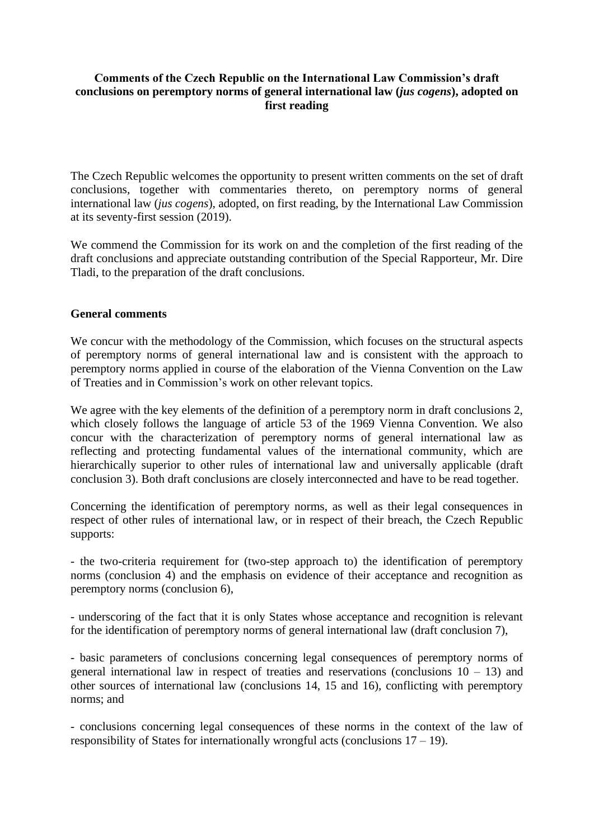## **Comments of the Czech Republic on the International Law Commission's draft conclusions on peremptory norms of general international law (***jus cogens***), adopted on first reading**

The Czech Republic welcomes the opportunity to present written comments on the set of draft conclusions, together with commentaries thereto, on peremptory norms of general international law (*jus cogens*), adopted, on first reading, by the International Law Commission at its seventy-first session (2019).

We commend the Commission for its work on and the completion of the first reading of the draft conclusions and appreciate outstanding contribution of the Special Rapporteur, Mr. Dire Tladi, to the preparation of the draft conclusions.

## **General comments**

We concur with the methodology of the Commission, which focuses on the structural aspects of peremptory norms of general international law and is consistent with the approach to peremptory norms applied in course of the elaboration of the Vienna Convention on the Law of Treaties and in Commission's work on other relevant topics.

We agree with the key elements of the definition of a peremptory norm in draft conclusions 2. which closely follows the language of article 53 of the 1969 Vienna Convention. We also concur with the characterization of peremptory norms of general international law as reflecting and protecting fundamental values of the international community, which are hierarchically superior to other rules of international law and universally applicable (draft conclusion 3). Both draft conclusions are closely interconnected and have to be read together.

Concerning the identification of peremptory norms, as well as their legal consequences in respect of other rules of international law, or in respect of their breach, the Czech Republic supports:

- the two-criteria requirement for (two-step approach to) the identification of peremptory norms (conclusion 4) and the emphasis on evidence of their acceptance and recognition as peremptory norms (conclusion 6),

- underscoring of the fact that it is only States whose acceptance and recognition is relevant for the identification of peremptory norms of general international law (draft conclusion 7),

- basic parameters of conclusions concerning legal consequences of peremptory norms of general international law in respect of treaties and reservations (conclusions  $10 - 13$ ) and other sources of international law (conclusions 14, 15 and 16), conflicting with peremptory norms; and

- conclusions concerning legal consequences of these norms in the context of the law of responsibility of States for internationally wrongful acts (conclusions  $17 - 19$ ).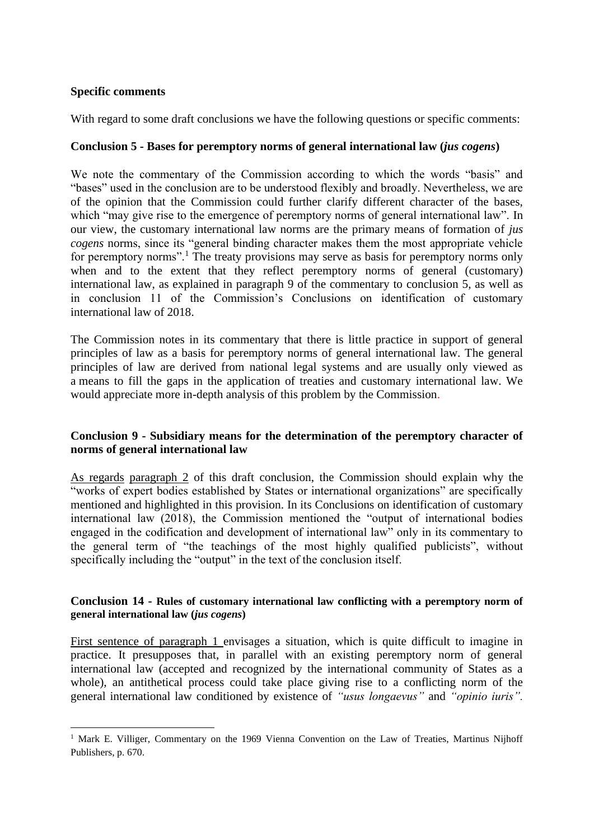### **Specific comments**

With regard to some draft conclusions we have the following questions or specific comments:

## **Conclusion 5 - Bases for peremptory norms of general international law (***jus cogens***)**

We note the commentary of the Commission according to which the words "basis" and "bases" used in the conclusion are to be understood flexibly and broadly. Nevertheless, we are of the opinion that the Commission could further clarify different character of the bases, which "may give rise to the emergence of peremptory norms of general international law". In our view, the customary international law norms are the primary means of formation of *jus cogens* norms, since its "general binding character makes them the most appropriate vehicle for peremptory norms".<sup>1</sup> The treaty provisions may serve as basis for peremptory norms only when and to the extent that they reflect peremptory norms of general (customary) international law, as explained in paragraph 9 of the commentary to conclusion 5, as well as in conclusion 11 of the Commission's Conclusions on identification of customary international law of 2018.

The Commission notes in its commentary that there is little practice in support of general principles of law as a basis for peremptory norms of general international law. The general principles of law are derived from national legal systems and are usually only viewed as a means to fill the gaps in the application of treaties and customary international law. We would appreciate more in-depth analysis of this problem by the Commission.

## **Conclusion 9 - Subsidiary means for the determination of the peremptory character of norms of general international law**

As regards paragraph 2 of this draft conclusion, the Commission should explain why the "works of expert bodies established by States or international organizations" are specifically mentioned and highlighted in this provision. In its Conclusions on identification of customary international law (2018), the Commission mentioned the "output of international bodies engaged in the codification and development of international law" only in its commentary to the general term of "the teachings of the most highly qualified publicists", without specifically including the "output" in the text of the conclusion itself.

#### **Conclusion 14 - Rules of customary international law conflicting with a peremptory norm of general international law (***jus cogens***)**

First sentence of paragraph 1 envisages a situation, which is quite difficult to imagine in practice. It presupposes that, in parallel with an existing peremptory norm of general international law (accepted and recognized by the international community of States as a whole), an antithetical process could take place giving rise to a conflicting norm of the general international law conditioned by existence of *"usus longaevus"* and *"opinio iuris".* 

<sup>&</sup>lt;sup>1</sup> Mark E. Villiger, Commentary on the 1969 Vienna Convention on the Law of Treaties, Martinus Nijhoff Publishers, p. 670.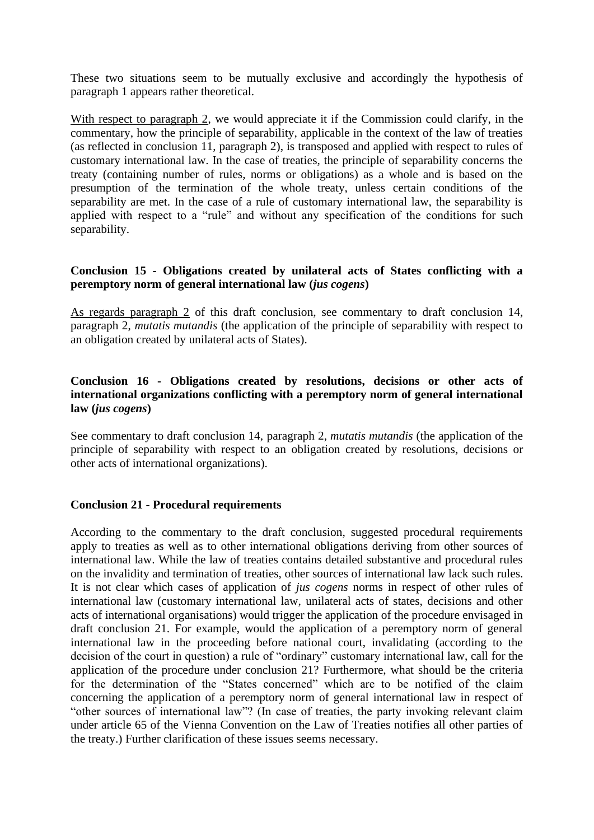These two situations seem to be mutually exclusive and accordingly the hypothesis of paragraph 1 appears rather theoretical.

With respect to paragraph 2, we would appreciate it if the Commission could clarify, in the commentary, how the principle of separability, applicable in the context of the law of treaties (as reflected in conclusion 11, paragraph 2), is transposed and applied with respect to rules of customary international law. In the case of treaties, the principle of separability concerns the treaty (containing number of rules, norms or obligations) as a whole and is based on the presumption of the termination of the whole treaty, unless certain conditions of the separability are met. In the case of a rule of customary international law, the separability is applied with respect to a "rule" and without any specification of the conditions for such separability.

## **Conclusion 15 - Obligations created by unilateral acts of States conflicting with a peremptory norm of general international law (***jus cogens***)**

As regards paragraph 2 of this draft conclusion, see commentary to draft conclusion 14, paragraph 2, *mutatis mutandis* (the application of the principle of separability with respect to an obligation created by unilateral acts of States).

# **Conclusion 16 - Obligations created by resolutions, decisions or other acts of international organizations conflicting with a peremptory norm of general international law (***jus cogens***)**

See commentary to draft conclusion 14, paragraph 2, *mutatis mutandis* (the application of the principle of separability with respect to an obligation created by resolutions, decisions or other acts of international organizations).

#### **Conclusion 21 - Procedural requirements**

According to the commentary to the draft conclusion, suggested procedural requirements apply to treaties as well as to other international obligations deriving from other sources of international law. While the law of treaties contains detailed substantive and procedural rules on the invalidity and termination of treaties, other sources of international law lack such rules. It is not clear which cases of application of *jus cogens* norms in respect of other rules of international law (customary international law, unilateral acts of states, decisions and other acts of international organisations) would trigger the application of the procedure envisaged in draft conclusion 21. For example, would the application of a peremptory norm of general international law in the proceeding before national court, invalidating (according to the decision of the court in question) a rule of "ordinary" customary international law, call for the application of the procedure under conclusion 21? Furthermore, what should be the criteria for the determination of the "States concerned" which are to be notified of the claim concerning the application of a peremptory norm of general international law in respect of "other sources of international law"? (In case of treaties, the party invoking relevant claim under article 65 of the Vienna Convention on the Law of Treaties notifies all other parties of the treaty.) Further clarification of these issues seems necessary.